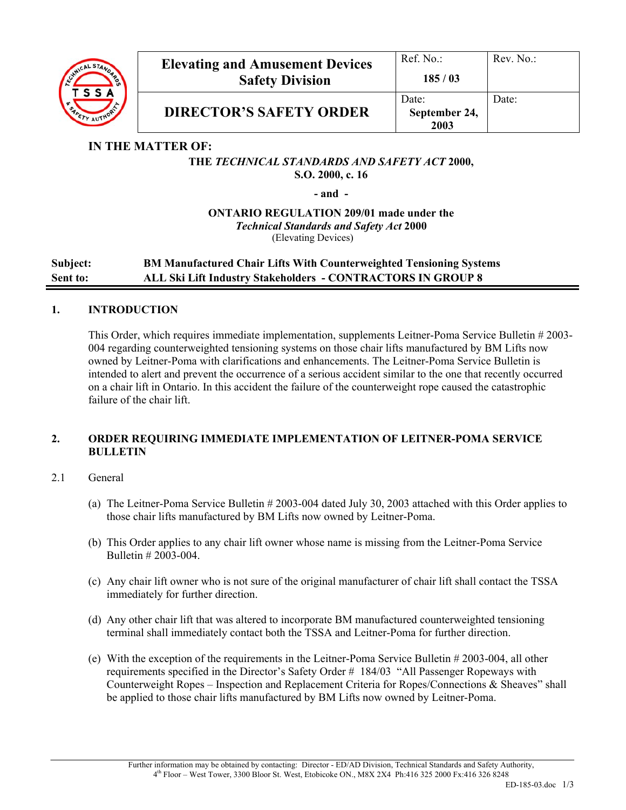

## **IN THE MATTER OF:**

### **THE** *TECHNICAL STANDARDS AND SAFETY ACT* **2000, S.O. 2000, c. 16**

**- and -** 

**ONTARIO REGULATION 209/01 made under the**  *Technical Standards and Safety Act* **2000**  (Elevating Devices)

**Subject: BM Manufactured Chair Lifts With Counterweighted Tensioning Systems Sent to: ALL Ski Lift Industry Stakeholders - CONTRACTORS IN GROUP 8** 

### **1. INTRODUCTION**

This Order, which requires immediate implementation, supplements Leitner-Poma Service Bulletin # 2003- 004 regarding counterweighted tensioning systems on those chair lifts manufactured by BM Lifts now owned by Leitner-Poma with clarifications and enhancements. The Leitner-Poma Service Bulletin is intended to alert and prevent the occurrence of a serious accident similar to the one that recently occurred on a chair lift in Ontario. In this accident the failure of the counterweight rope caused the catastrophic failure of the chair lift.

### **2. ORDER REQUIRING IMMEDIATE IMPLEMENTATION OF LEITNER-POMA SERVICE BULLETIN**

### 2.1 General

- (a) The Leitner-Poma Service Bulletin # 2003-004 dated July 30, 2003 attached with this Order applies to those chair lifts manufactured by BM Lifts now owned by Leitner-Poma.
- (b) This Order applies to any chair lift owner whose name is missing from the Leitner-Poma Service Bulletin # 2003-004.
- (c) Any chair lift owner who is not sure of the original manufacturer of chair lift shall contact the TSSA immediately for further direction.
- (d) Any other chair lift that was altered to incorporate BM manufactured counterweighted tensioning terminal shall immediately contact both the TSSA and Leitner-Poma for further direction.
- (e) With the exception of the requirements in the Leitner-Poma Service Bulletin # 2003-004, all other requirements specified in the Director's Safety Order # 184/03 "All Passenger Ropeways with Counterweight Ropes – Inspection and Replacement Criteria for Ropes/Connections & Sheaves" shall be applied to those chair lifts manufactured by BM Lifts now owned by Leitner-Poma.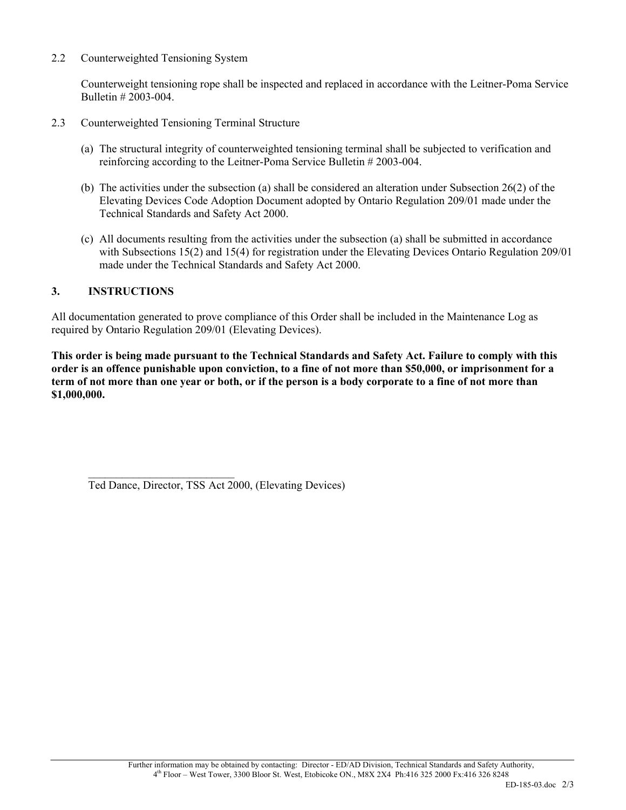2.2 Counterweighted Tensioning System

Counterweight tensioning rope shall be inspected and replaced in accordance with the Leitner-Poma Service Bulletin # 2003-004.

- 2.3 Counterweighted Tensioning Terminal Structure
	- (a) The structural integrity of counterweighted tensioning terminal shall be subjected to verification and reinforcing according to the Leitner-Poma Service Bulletin # 2003-004.
	- (b) The activities under the subsection (a) shall be considered an alteration under Subsection 26(2) of the Elevating Devices Code Adoption Document adopted by Ontario Regulation 209/01 made under the Technical Standards and Safety Act 2000.
	- (c) All documents resulting from the activities under the subsection (a) shall be submitted in accordance with Subsections 15(2) and 15(4) for registration under the Elevating Devices Ontario Regulation 209/01 made under the Technical Standards and Safety Act 2000.

#### **3. INSTRUCTIONS**

All documentation generated to prove compliance of this Order shall be included in the Maintenance Log as required by Ontario Regulation 209/01 (Elevating Devices).

**This order is being made pursuant to the Technical Standards and Safety Act. Failure to comply with this order is an offence punishable upon conviction, to a fine of not more than \$50,000, or imprisonment for a term of not more than one year or both, or if the person is a body corporate to a fine of not more than \$1,000,000.**

 $\mathcal{L}_\text{max}$ 

Ted Dance, Director, TSS Act 2000, (Elevating Devices)